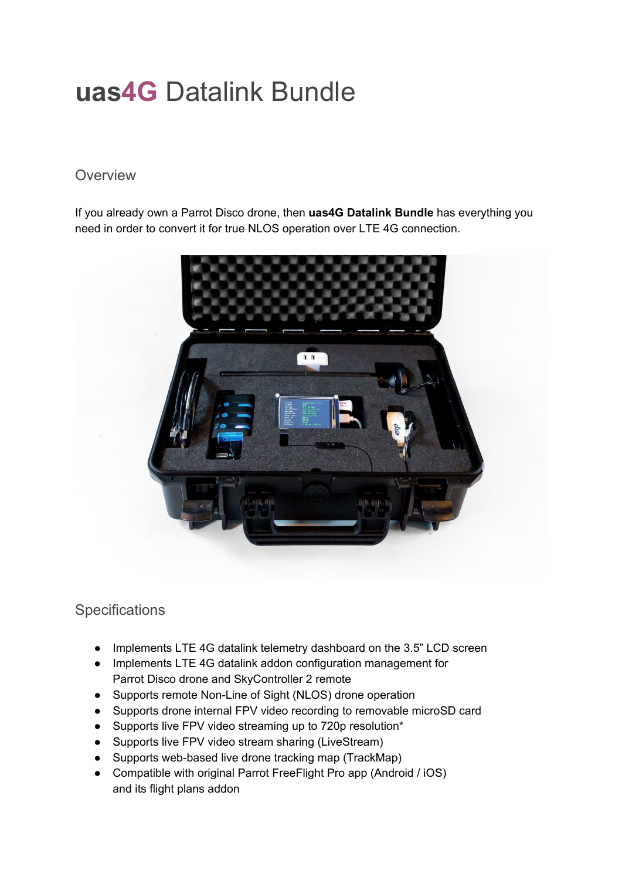# **uas4G** Datalink Bundle

#### **Overview**

If you already own a Parrot Disco drone, then **uas4G Datalink Bundle** has everything you need in order to convert it for true NLOS operation over LTE 4G connection.



## **Specifications**

- Implements LTE 4G datalink telemetry dashboard on the 3.5" LCD screen
- Implements LTE 4G datalink addon configuration management for Parrot Disco drone and SkyController 2 remote
- Supports remote Non-Line of Sight (NLOS) drone operation
- Supports drone internal FPV video recording to removable microSD card
- Supports live FPV video streaming up to 720p resolution\*
- Supports live FPV video stream sharing (LiveStream)
- Supports web-based live drone tracking map (TrackMap)
- Compatible with original Parrot FreeFlight Pro app (Android / iOS) and its flight plans addon